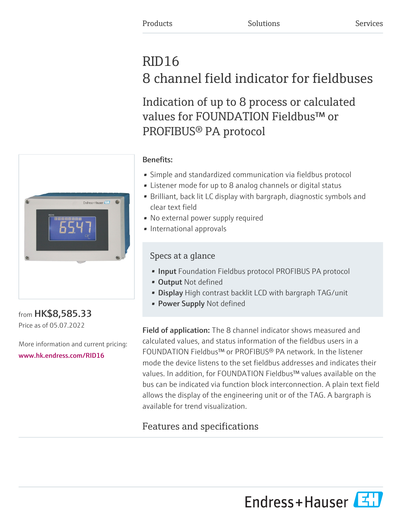# RID16 8 channel field indicator for fieldbuses

Indication of up to 8 process or calculated values for FOUNDATION Fieldbus™ or PROFIBUS® PA protocol



from HK\$8,585.33 Price as of 05.07.2022

More information and current pricing: [www.hk.endress.com/RID16](https://www.hk.endress.com/RID16)

## Benefits:

- Simple and standardized communication via fieldbus protocol
- Listener mode for up to 8 analog channels or digital status
- Brilliant, back lit LC display with bargraph, diagnostic symbols and clear text field
- No external power supply required
- International approvals

## Specs at a glance

- Input Foundation Fieldbus protocol PROFIBUS PA protocol
- Output Not defined
- Display High contrast backlit LCD with bargraph TAG/unit
- Power Supply Not defined

Field of application: The 8 channel indicator shows measured and calculated values, and status information of the fieldbus users in a FOUNDATION Fieldbus™ or PROFIBUS® PA network. In the listener mode the device listens to the set fieldbus addresses and indicates their values. In addition, for FOUNDATION Fieldbus™ values available on the bus can be indicated via function block interconnection. A plain text field allows the display of the engineering unit or of the TAG. A bargraph is available for trend visualization.

## Features and specifications

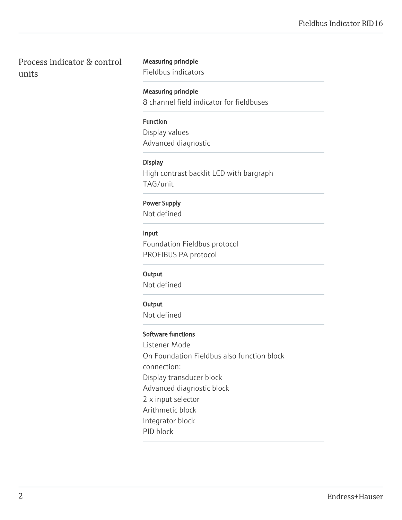Process indicator & control units

#### Measuring principle

Fieldbus indicators

Measuring principle 8 channel field indicator for fieldbuses

#### Function

Display values Advanced diagnostic

#### **Display**

High contrast backlit LCD with bargraph TAG/unit

#### Power Supply

Not defined

#### Input

Foundation Fieldbus protocol PROFIBUS PA protocol

#### **Output**

Not defined

#### **Output**

Not defined

#### Software functions

Listener Mode On Foundation Fieldbus also function block connection: Display transducer block Advanced diagnostic block 2 x input selector Arithmetic block Integrator block PID block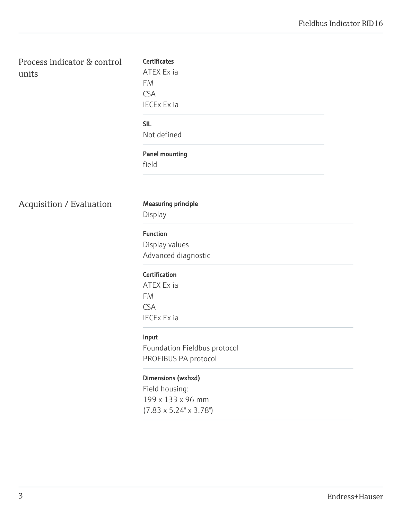Process indicator & control units

# **Certificates** ATEX Ex ia FM CSA IECEx Ex ia SIL Not defined Panel mounting field

## Acquisition / Evaluation Measuring principle

Display

## Function

Display values Advanced diagnostic

## **Certification**

ATEX Ex ia FM CSA IECEx Ex ia

## Input

Foundation Fieldbus protocol PROFIBUS PA protocol

## Dimensions (wxhxd)

Field housing: 199 x 133 x 96 mm (7.83 x 5.24" x 3.78")